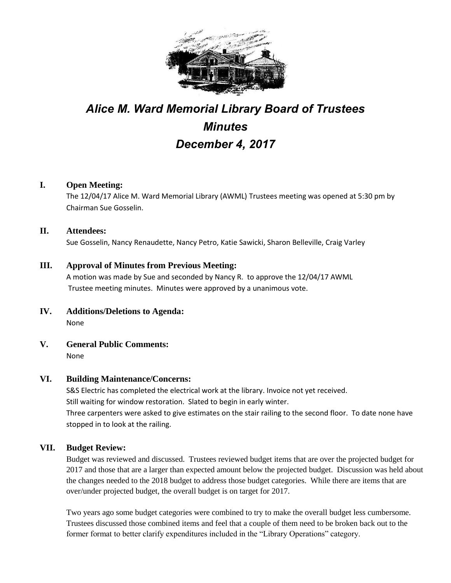

# *Alice M. Ward Memorial Library Board of Trustees Minutes December 4, 2017*

### **I. Open Meeting:**

The 12/04/17 Alice M. Ward Memorial Library (AWML) Trustees meeting was opened at 5:30 pm by Chairman Sue Gosselin.

#### **II. Attendees:**

Sue Gosselin, Nancy Renaudette, Nancy Petro, Katie Sawicki, Sharon Belleville, Craig Varley

#### **III. Approval of Minutes from Previous Meeting:**

A motion was made by Sue and seconded by Nancy R. to approve the 12/04/17 AWML Trustee meeting minutes. Minutes were approved by a unanimous vote.

- **IV. Additions/Deletions to Agenda:** None
- **V. General Public Comments:**

None

#### **VI. Building Maintenance/Concerns:**

S&S Electric has completed the electrical work at the library. Invoice not yet received. Still waiting for window restoration. Slated to begin in early winter. Three carpenters were asked to give estimates on the stair railing to the second floor. To date none have stopped in to look at the railing.

#### **VII. Budget Review:**

Budget was reviewed and discussed. Trustees reviewed budget items that are over the projected budget for 2017 and those that are a larger than expected amount below the projected budget. Discussion was held about the changes needed to the 2018 budget to address those budget categories. While there are items that are over/under projected budget, the overall budget is on target for 2017.

Two years ago some budget categories were combined to try to make the overall budget less cumbersome. Trustees discussed those combined items and feel that a couple of them need to be broken back out to the former format to better clarify expenditures included in the "Library Operations" category.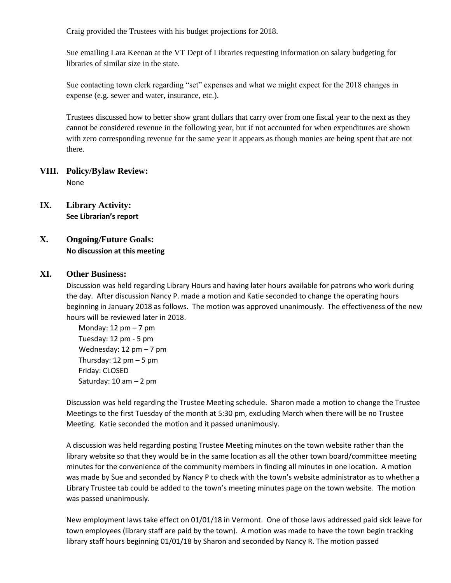Craig provided the Trustees with his budget projections for 2018.

Sue emailing Lara Keenan at the VT Dept of Libraries requesting information on salary budgeting for libraries of similar size in the state.

Sue contacting town clerk regarding "set" expenses and what we might expect for the 2018 changes in expense (e.g. sewer and water, insurance, etc.).

Trustees discussed how to better show grant dollars that carry over from one fiscal year to the next as they cannot be considered revenue in the following year, but if not accounted for when expenditures are shown with zero corresponding revenue for the same year it appears as though monies are being spent that are not there.

#### **VIII. Policy/Bylaw Review:** None

**IX. Library Activity: See Librarian's report**

## **X. Ongoing/Future Goals: No discussion at this meeting**

#### **XI. Other Business:**

Discussion was held regarding Library Hours and having later hours available for patrons who work during the day. After discussion Nancy P. made a motion and Katie seconded to change the operating hours beginning in January 2018 as follows. The motion was approved unanimously. The effectiveness of the new hours will be reviewed later in 2018.

Monday:  $12 \text{ pm} - 7 \text{ pm}$ Tuesday: 12 pm - 5 pm Wednesday: 12 pm – 7 pm Thursday: 12 pm – 5 pm Friday: CLOSED Saturday: 10 am – 2 pm

Discussion was held regarding the Trustee Meeting schedule. Sharon made a motion to change the Trustee Meetings to the first Tuesday of the month at 5:30 pm, excluding March when there will be no Trustee Meeting. Katie seconded the motion and it passed unanimously.

A discussion was held regarding posting Trustee Meeting minutes on the town website rather than the library website so that they would be in the same location as all the other town board/committee meeting minutes for the convenience of the community members in finding all minutes in one location. A motion was made by Sue and seconded by Nancy P to check with the town's website administrator as to whether a Library Trustee tab could be added to the town's meeting minutes page on the town website. The motion was passed unanimously.

New employment laws take effect on 01/01/18 in Vermont. One of those laws addressed paid sick leave for town employees (library staff are paid by the town). A motion was made to have the town begin tracking library staff hours beginning 01/01/18 by Sharon and seconded by Nancy R. The motion passed